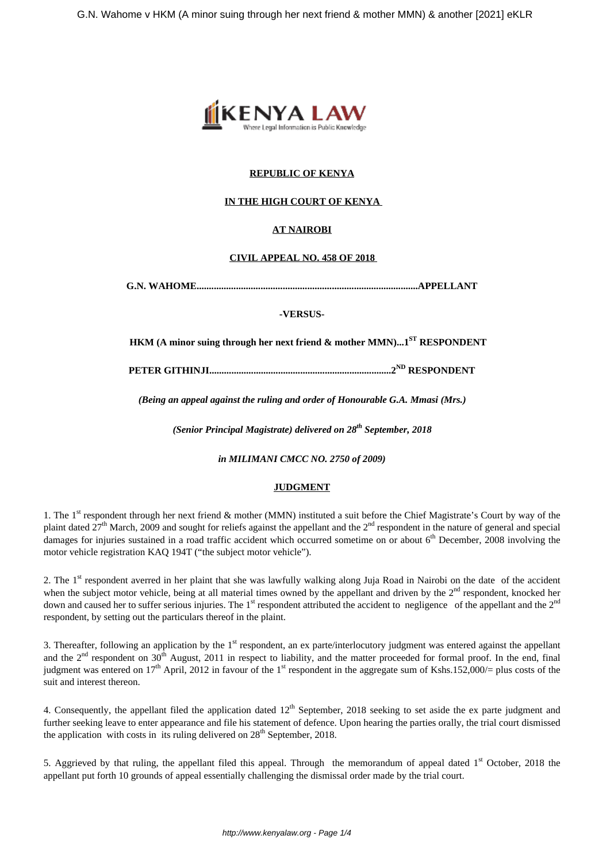

# **REPUBLIC OF KENYA**

# **IN THE HIGH COURT OF KENYA**

# **AT NAIROBI**

### **CIVIL APPEAL NO. 458 OF 2018**

**G.N. WAHOME..........................................................................................APPELLANT**

**-VERSUS-**

 **HKM (A minor suing through her next friend & mother MMN)...1ST RESPONDENT**

**PETER GITHINJI..........................................................................2ND RESPONDENT**

*(Being an appeal against the ruling and order of Honourable G.A. Mmasi (Mrs.)*

*(Senior Principal Magistrate) delivered on 28th September, 2018*

*in MILIMANI CMCC NO. 2750 of 2009)*

#### **JUDGMENT**

1. The 1<sup>st</sup> respondent through her next friend & mother (MMN) instituted a suit before the Chief Magistrate's Court by way of the plaint dated  $27<sup>th</sup>$  March, 2009 and sought for reliefs against the appellant and the  $2<sup>nd</sup>$  respondent in the nature of general and special damages for injuries sustained in a road traffic accident which occurred sometime on or about  $6<sup>th</sup>$  December, 2008 involving the motor vehicle registration KAQ 194T ("the subject motor vehicle").

2. The 1<sup>st</sup> respondent averred in her plaint that she was lawfully walking along Juja Road in Nairobi on the date of the accident when the subject motor vehicle, being at all material times owned by the appellant and driven by the  $2<sup>nd</sup>$  respondent, knocked her down and caused her to suffer serious injuries. The 1<sup>st</sup> respondent attributed the accident to negligence of the appellant and the  $2<sup>nd</sup>$ respondent, by setting out the particulars thereof in the plaint.

3. Thereafter, following an application by the  $1<sup>st</sup>$  respondent, an ex parte/interlocutory judgment was entered against the appellant and the  $2<sup>nd</sup>$  respondent on  $30<sup>th</sup>$  August, 2011 in respect to liability, and the matter proceeded for formal proof. In the end, final judgment was entered on  $17<sup>th</sup>$  April, 2012 in favour of the 1<sup>st</sup> respondent in the aggregate sum of Kshs.152,000/= plus costs of the suit and interest thereon.

4. Consequently, the appellant filed the application dated  $12<sup>th</sup>$  September, 2018 seeking to set aside the ex parte judgment and further seeking leave to enter appearance and file his statement of defence. Upon hearing the parties orally, the trial court dismissed the application with costs in its ruling delivered on  $28<sup>th</sup>$  September, 2018.

5. Aggrieved by that ruling, the appellant filed this appeal. Through the memorandum of appeal dated  $1<sup>st</sup>$  October, 2018 the appellant put forth 10 grounds of appeal essentially challenging the dismissal order made by the trial court.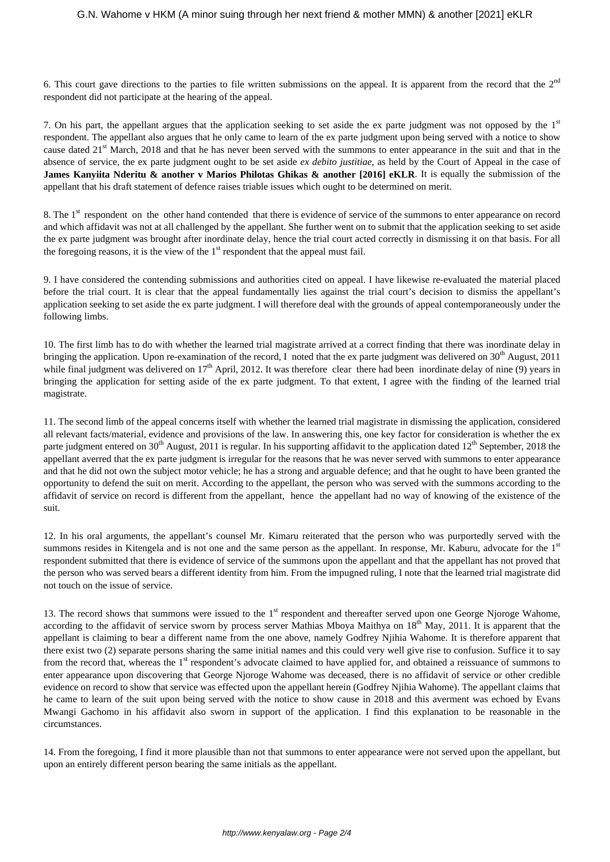6. This court gave directions to the parties to file written submissions on the appeal. It is apparent from the record that the  $2<sup>nd</sup>$ respondent did not participate at the hearing of the appeal.

7. On his part, the appellant argues that the application seeking to set aside the ex parte judgment was not opposed by the  $1<sup>st</sup>$ respondent. The appellant also argues that he only came to learn of the ex parte judgment upon being served with a notice to show cause dated  $21<sup>st</sup>$  March, 2018 and that he has never been served with the summons to enter appearance in the suit and that in the absence of service, the ex parte judgment ought to be set aside *ex debito justitiae*, as held by the Court of Appeal in the case of **James Kanyiita Nderitu & another v Marios Philotas Ghikas & another [2016] eKLR**. It is equally the submission of the appellant that his draft statement of defence raises triable issues which ought to be determined on merit.

8. The 1<sup>st</sup> respondent on the other hand contended that there is evidence of service of the summons to enter appearance on record and which affidavit was not at all challenged by the appellant. She further went on to submit that the application seeking to set aside the ex parte judgment was brought after inordinate delay, hence the trial court acted correctly in dismissing it on that basis. For all the foregoing reasons, it is the view of the  $1<sup>st</sup>$  respondent that the appeal must fail.

9. I have considered the contending submissions and authorities cited on appeal. I have likewise re-evaluated the material placed before the trial court. It is clear that the appeal fundamentally lies against the trial court's decision to dismiss the appellant's application seeking to set aside the ex parte judgment. I will therefore deal with the grounds of appeal contemporaneously under the following limbs.

10. The first limb has to do with whether the learned trial magistrate arrived at a correct finding that there was inordinate delay in bringing the application. Upon re-examination of the record, I noted that the ex parte judgment was delivered on  $30<sup>th</sup>$  August, 2011 while final judgment was delivered on  $17<sup>th</sup>$  April, 2012. It was therefore clear there had been inordinate delay of nine (9) years in bringing the application for setting aside of the ex parte judgment. To that extent, I agree with the finding of the learned trial magistrate.

11. The second limb of the appeal concerns itself with whether the learned trial magistrate in dismissing the application, considered all relevant facts/material, evidence and provisions of the law. In answering this, one key factor for consideration is whether the ex parte judgment entered on  $30<sup>th</sup>$  August, 2011 is regular. In his supporting affidavit to the application dated  $12<sup>th</sup>$  September, 2018 the appellant averred that the ex parte judgment is irregular for the reasons that he was never served with summons to enter appearance and that he did not own the subject motor vehicle; he has a strong and arguable defence; and that he ought to have been granted the opportunity to defend the suit on merit. According to the appellant, the person who was served with the summons according to the affidavit of service on record is different from the appellant, hence the appellant had no way of knowing of the existence of the suit.

12. In his oral arguments, the appellant's counsel Mr. Kimaru reiterated that the person who was purportedly served with the summons resides in Kitengela and is not one and the same person as the appellant. In response, Mr. Kaburu, advocate for the 1<sup>st</sup> respondent submitted that there is evidence of service of the summons upon the appellant and that the appellant has not proved that the person who was served bears a different identity from him. From the impugned ruling, I note that the learned trial magistrate did not touch on the issue of service.

13. The record shows that summons were issued to the 1<sup>st</sup> respondent and thereafter served upon one George Njoroge Wahome, according to the affidavit of service sworn by process server Mathias Mboya Maithya on  $18<sup>th</sup>$  May, 2011. It is apparent that the appellant is claiming to bear a different name from the one above, namely Godfrey Njihia Wahome. It is therefore apparent that there exist two (2) separate persons sharing the same initial names and this could very well give rise to confusion. Suffice it to say from the record that, whereas the 1<sup>st</sup> respondent's advocate claimed to have applied for, and obtained a reissuance of summons to enter appearance upon discovering that George Njoroge Wahome was deceased, there is no affidavit of service or other credible evidence on record to show that service was effected upon the appellant herein (Godfrey Njihia Wahome). The appellant claims that he came to learn of the suit upon being served with the notice to show cause in 2018 and this averment was echoed by Evans Mwangi Gachomo in his affidavit also sworn in support of the application. I find this explanation to be reasonable in the circumstances.

14. From the foregoing, I find it more plausible than not that summons to enter appearance were not served upon the appellant, but upon an entirely different person bearing the same initials as the appellant.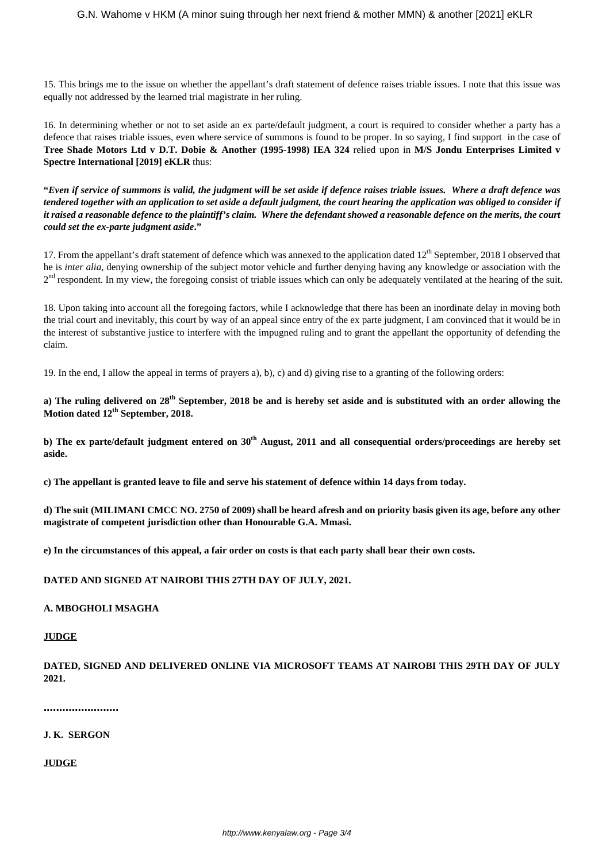15. This brings me to the issue on whether the appellant's draft statement of defence raises triable issues. I note that this issue was equally not addressed by the learned trial magistrate in her ruling.

16. In determining whether or not to set aside an ex parte/default judgment, a court is required to consider whether a party has a defence that raises triable issues, even where service of summons is found to be proper. In so saying, I find support in the case of **Tree Shade Motors Ltd v D.T. Dobie & Another (1995-1998) IEA 324** relied upon in **M/S Jondu Enterprises Limited v Spectre International [2019] eKLR** thus:

**"***Even if service of summons is valid, the judgment will be set aside if defence raises triable issues. Where a draft defence was tendered together with an application to set aside a default judgment, the court hearing the application was obliged to consider if it raised a reasonable defence to the plaintiff's claim. Where the defendant showed a reasonable defence on the merits, the court could set the ex-parte judgment aside***."**

17. From the appellant's draft statement of defence which was annexed to the application dated 12<sup>th</sup> September, 2018 I observed that he is *inter alia*, denying ownership of the subject motor vehicle and further denying having any knowledge or association with the 2<sup>nd</sup> respondent. In my view, the foregoing consist of triable issues which can only be adequately ventilated at the hearing of the suit.

18. Upon taking into account all the foregoing factors, while I acknowledge that there has been an inordinate delay in moving both the trial court and inevitably, this court by way of an appeal since entry of the ex parte judgment, I am convinced that it would be in the interest of substantive justice to interfere with the impugned ruling and to grant the appellant the opportunity of defending the claim.

19. In the end, I allow the appeal in terms of prayers a), b), c) and d) giving rise to a granting of the following orders:

**a) The ruling delivered on 28th September, 2018 be and is hereby set aside and is substituted with an order allowing the Motion dated 12th September, 2018.**

**b) The ex parte/default judgment entered on 30th August, 2011 and all consequential orders/proceedings are hereby set aside.** 

**c) The appellant is granted leave to file and serve his statement of defence within 14 days from today.**

**d) The suit (MILIMANI CMCC NO. 2750 of 2009) shall be heard afresh and on priority basis given its age, before any other magistrate of competent jurisdiction other than Honourable G.A. Mmasi.** 

**e) In the circumstances of this appeal, a fair order on costs is that each party shall bear their own costs.** 

**DATED AND SIGNED AT NAIROBI THIS 27TH DAY OF JULY, 2021.**

## **A. MBOGHOLI MSAGHA**

## **JUDGE**

**DATED, SIGNED AND DELIVERED ONLINE VIA MICROSOFT TEAMS AT NAIROBI THIS 29TH DAY OF JULY 2021.**

**........................**

# **J. K. SERGON**

**JUDGE**